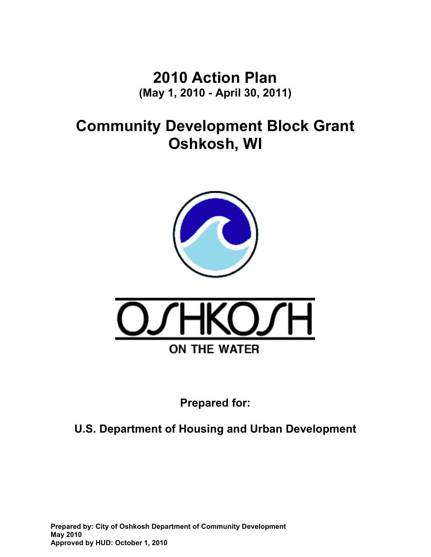**2010 Action Plan (May 1, 2010 - April 30, 2011)** 

**Community Development Block Grant Oshkosh, WI** 





**Prepared for:** 

**U.S. Department of Housing and Urban Development** 

**Prepared by: City of Oshkosh Department of Community Development May 2010 Approved by HUD: October 1, 2010**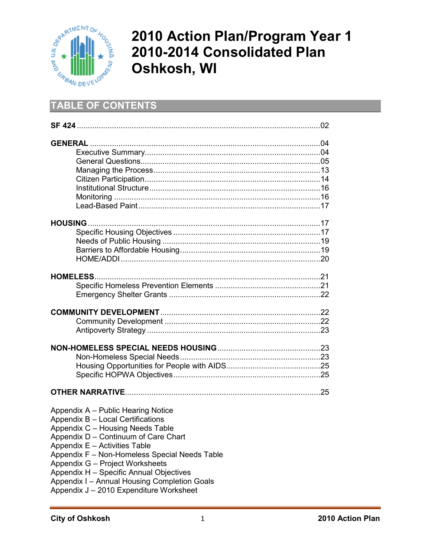

# **2010 Action Plan/Program Year 1 2010-2014 Consolidated Plan Oshkosh, WI**

## **TABLE OF CONTENTS**

| Appendix A - Public Hearing Notice            |  |
|-----------------------------------------------|--|
| Appendix B - Local Certifications             |  |
| Appendix C - Housing Needs Table              |  |
| Appendix D - Continuum of Care Chart          |  |
| Appendix E - Activities Table                 |  |
| Appendix F - Non-Homeless Special Needs Table |  |
| Appendix G - Project Worksheets               |  |
| Appendix H - Specific Annual Objectives       |  |
| Appendix I - Annual Housing Completion Goals  |  |
|                                               |  |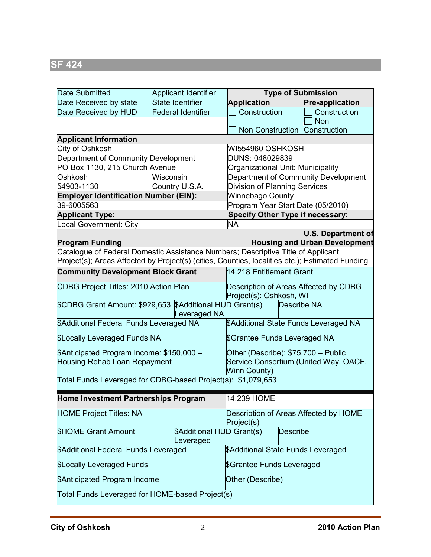| Date Submitted                                                                                             | <b>Applicant Identifier</b>                                                                                                                               | <b>Type of Submission</b>                                        |                                                                   |  |  |
|------------------------------------------------------------------------------------------------------------|-----------------------------------------------------------------------------------------------------------------------------------------------------------|------------------------------------------------------------------|-------------------------------------------------------------------|--|--|
| Date Received by state                                                                                     | State Identifier                                                                                                                                          | <b>Application</b>                                               | <b>Pre-application</b>                                            |  |  |
| Date Received by HUD                                                                                       | <b>Federal Identifier</b>                                                                                                                                 | Construction                                                     | Construction                                                      |  |  |
|                                                                                                            |                                                                                                                                                           |                                                                  | <b>Non</b>                                                        |  |  |
|                                                                                                            |                                                                                                                                                           | Non Construction Construction                                    |                                                                   |  |  |
| <b>Applicant Information</b>                                                                               |                                                                                                                                                           |                                                                  |                                                                   |  |  |
| City of Oshkosh                                                                                            |                                                                                                                                                           | WI554960 OSHKOSH                                                 |                                                                   |  |  |
| Department of Community Development                                                                        |                                                                                                                                                           | DUNS: 048029839                                                  |                                                                   |  |  |
| PO Box 1130, 215 Church Avenue                                                                             |                                                                                                                                                           | Organizational Unit: Municipality                                |                                                                   |  |  |
| Oshkosh                                                                                                    | Wisconsin                                                                                                                                                 | Department of Community Development                              |                                                                   |  |  |
| 54903-1130                                                                                                 | Country U.S.A.                                                                                                                                            | Division of Planning Services                                    |                                                                   |  |  |
| <b>Employer Identification Number (EIN):</b>                                                               |                                                                                                                                                           | Winnebago County                                                 |                                                                   |  |  |
| 39-6005563                                                                                                 |                                                                                                                                                           | Program Year Start Date (05/2010)                                |                                                                   |  |  |
| <b>Applicant Type:</b>                                                                                     |                                                                                                                                                           | <b>Specify Other Type if necessary:</b>                          |                                                                   |  |  |
| Local Government: City                                                                                     |                                                                                                                                                           | <b>NA</b>                                                        |                                                                   |  |  |
| <b>Program Funding</b><br>Catalogue of Federal Domestic Assistance Numbers; Descriptive Title of Applicant |                                                                                                                                                           |                                                                  | <b>U.S. Department of</b><br><b>Housing and Urban Development</b> |  |  |
| Project(s); Areas Affected by Project(s) (cities, Counties, localities etc.); Estimated Funding            |                                                                                                                                                           |                                                                  |                                                                   |  |  |
| <b>Community Development Block Grant</b>                                                                   |                                                                                                                                                           | 14.218 Entitlement Grant                                         |                                                                   |  |  |
| CDBG Project Titles: 2010 Action Plan                                                                      |                                                                                                                                                           | Description of Areas Affected by CDBG<br>Project(s): Oshkosh, WI |                                                                   |  |  |
| \$CDBG Grant Amount: \$929,653 \$Additional HUD Grant(s)                                                   | everaged NA                                                                                                                                               | Describe NA                                                      |                                                                   |  |  |
| \$Additional Federal Funds Leveraged NA                                                                    |                                                                                                                                                           | \$Additional State Funds Leveraged NA                            |                                                                   |  |  |
| <b>\$Locally Leveraged Funds NA</b>                                                                        |                                                                                                                                                           | \$Grantee Funds Leveraged NA                                     |                                                                   |  |  |
|                                                                                                            | Other (Describe): \$75,700 - Public<br>\$Anticipated Program Income: \$150,000 -<br>Service Consortium (United Way, OACF,<br>Housing Rehab Loan Repayment |                                                                  |                                                                   |  |  |
|                                                                                                            |                                                                                                                                                           | Winn County)                                                     |                                                                   |  |  |
| Total Funds Leveraged for CDBG-based Project(s): \$1,079,653                                               |                                                                                                                                                           |                                                                  |                                                                   |  |  |
| Home Investment Partnerships Program                                                                       |                                                                                                                                                           | 14.239 HOME                                                      |                                                                   |  |  |
| <b>HOME Project Titles: NA</b>                                                                             |                                                                                                                                                           | Description of Areas Affected by HOME<br>Project(s)              |                                                                   |  |  |
| <b>SHOME Grant Amount</b>                                                                                  | \$Additional HUD Grant(s)<br>everaged                                                                                                                     | Describe                                                         |                                                                   |  |  |
| \$Additional Federal Funds Leveraged                                                                       |                                                                                                                                                           | \$Additional State Funds Leveraged                               |                                                                   |  |  |
| <b>\$Locally Leveraged Funds</b>                                                                           |                                                                                                                                                           | \$Grantee Funds Leveraged                                        |                                                                   |  |  |
| \$Anticipated Program Income                                                                               | Other (Describe)                                                                                                                                          |                                                                  |                                                                   |  |  |
| Total Funds Leveraged for HOME-based Project(s)                                                            |                                                                                                                                                           |                                                                  |                                                                   |  |  |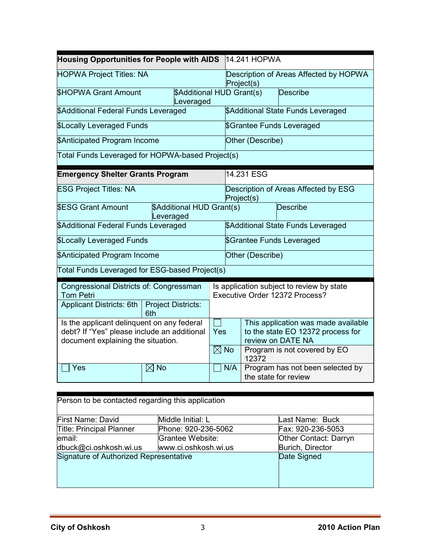|                                                                                                                                        | <b>Housing Opportunities for People with AIDS</b><br>14.241 HOPWA |                                                      |                                    |                                                                                               |  |
|----------------------------------------------------------------------------------------------------------------------------------------|-------------------------------------------------------------------|------------------------------------------------------|------------------------------------|-----------------------------------------------------------------------------------------------|--|
| <b>HOPWA Project Titles: NA</b>                                                                                                        |                                                                   | Description of Areas Affected by HOPWA<br>Project(s) |                                    |                                                                                               |  |
| <b>SHOPWA Grant Amount</b>                                                                                                             | \$Additional HUD Grant(s)<br>Leveraged                            |                                                      |                                    | Describe                                                                                      |  |
| \$Additional Federal Funds Leveraged                                                                                                   |                                                                   | \$Additional State Funds Leveraged                   |                                    |                                                                                               |  |
| <b>\$Locally Leveraged Funds</b>                                                                                                       |                                                                   | \$Grantee Funds Leveraged                            |                                    |                                                                                               |  |
| \$Anticipated Program Income                                                                                                           |                                                                   |                                                      | Other (Describe)                   |                                                                                               |  |
| Total Funds Leveraged for HOPWA-based Project(s)                                                                                       |                                                                   |                                                      |                                    |                                                                                               |  |
| <b>Emergency Shelter Grants Program</b>                                                                                                |                                                                   |                                                      | 14.231 ESG                         |                                                                                               |  |
| <b>ESG Project Titles: NA</b>                                                                                                          |                                                                   | Description of Areas Affected by ESG<br>Project(s)   |                                    |                                                                                               |  |
| \$Additional HUD Grant(s)<br><b>SESG Grant Amount</b><br>Leveraged                                                                     |                                                                   |                                                      |                                    | Describe                                                                                      |  |
| \$Additional Federal Funds Leveraged                                                                                                   |                                                                   |                                                      | \$Additional State Funds Leveraged |                                                                                               |  |
| <b>\$Locally Leveraged Funds</b><br>\$Grantee Funds Leveraged                                                                          |                                                                   |                                                      |                                    |                                                                                               |  |
| <b>\$Anticipated Program Income</b>                                                                                                    |                                                                   |                                                      | Other (Describe)                   |                                                                                               |  |
| Total Funds Leveraged for ESG-based Project(s)                                                                                         |                                                                   |                                                      |                                    |                                                                                               |  |
| Congressional Districts of: Congressman<br><b>Tom Petri</b><br>Applicant Districts: 6th<br><b>Project Districts:</b><br>6th            |                                                                   |                                                      |                                    | Is application subject to review by state<br>Executive Order 12372 Process?                   |  |
| Is the applicant delinquent on any federal<br>debt? If "Yes" please include an additional<br>Yes<br>document explaining the situation. |                                                                   |                                                      |                                    | This application was made available<br>to the state EO 12372 process for<br>review on DATE NA |  |
| $\boxtimes$ No                                                                                                                         |                                                                   |                                                      | 12372                              | Program is not covered by EO                                                                  |  |
| $\boxtimes$ No<br>Yes                                                                                                                  |                                                                   | N/A                                                  | the state for review               | Program has not been selected by                                                              |  |

| Person to be contacted regarding this application |                      |                       |  |  |  |
|---------------------------------------------------|----------------------|-----------------------|--|--|--|
| First Name: David                                 | Middle Initial: L    | Last Name: Buck       |  |  |  |
| <b>Title: Principal Planner</b>                   | Phone: 920-236-5062  | Fax: 920-236-5053     |  |  |  |
| email:                                            | Grantee Website:     | Other Contact: Darryn |  |  |  |
| dbuck@ci.oshkosh.wi.us                            | www.ci.oshkosh.wi.us | Burich, Director      |  |  |  |
| Signature of Authorized Representative            |                      | Date Signed           |  |  |  |
|                                                   |                      |                       |  |  |  |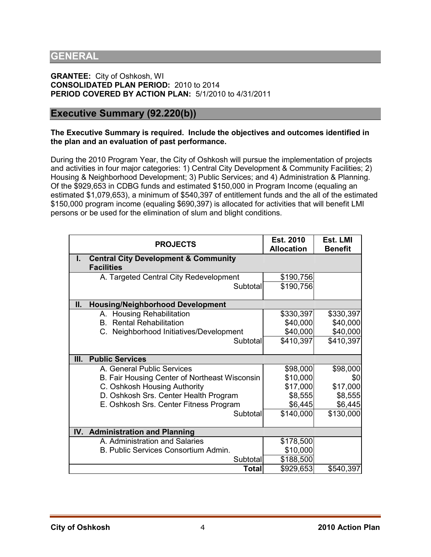### **GENERAL**

**GRANTEE:** City of Oshkosh, WI **CONSOLIDATED PLAN PERIOD:** 2010 to 2014 **PERIOD COVERED BY ACTION PLAN:** 5/1/2010 to 4/31/2011

### **Executive Summary (92.220(b))**

#### **The Executive Summary is required. Include the objectives and outcomes identified in the plan and an evaluation of past performance.**

During the 2010 Program Year, the City of Oshkosh will pursue the implementation of projects and activities in four major categories: 1) Central City Development & Community Facilities; 2) Housing & Neighborhood Development; 3) Public Services; and 4) Administration & Planning. Of the \$929,653 in CDBG funds and estimated \$150,000 in Program Income (equaling an estimated \$1,079,653), a minimum of \$540,397 of entitlement funds and the all of the estimated \$150,000 program income (equaling \$690,397) is allocated for activities that will benefit LMI persons or be used for the elimination of slum and blight conditions.

|     | <b>PROJECTS</b>                                                      | Est. 2010<br><b>Allocation</b> | Est. LMI<br><b>Benefit</b> |
|-----|----------------------------------------------------------------------|--------------------------------|----------------------------|
| I.  | <b>Central City Development &amp; Community</b><br><b>Facilities</b> |                                |                            |
|     | A. Targeted Central City Redevelopment                               | \$190,756                      |                            |
|     | Subtotal                                                             | \$190,756                      |                            |
| II. | <b>Housing/Neighborhood Development</b>                              |                                |                            |
|     | <b>Housing Rehabilitation</b><br>A.                                  | \$330,397                      | \$330,397                  |
|     | <b>Rental Rehabilitation</b><br>B.                                   | \$40,000                       | \$40,000                   |
|     | C. Neighborhood Initiatives/Development                              | \$40,000                       | \$40,000                   |
|     | Subtotal                                                             | \$410,397                      | \$410,397                  |
|     |                                                                      |                                |                            |
| Ш.  | <b>Public Services</b>                                               |                                |                            |
|     | A. General Public Services                                           | \$98,000                       | \$98,000                   |
|     | B. Fair Housing Center of Northeast Wisconsin                        | \$10,000                       | \$0                        |
|     | C. Oshkosh Housing Authority                                         | \$17,000                       | \$17,000                   |
|     | D. Oshkosh Srs. Center Health Program                                | \$8,555                        | \$8,555                    |
|     | E. Oshkosh Srs. Center Fitness Program                               | \$6,445                        | \$6,445                    |
|     | Subtotal                                                             | \$140,000                      | \$130,000                  |
|     | IV. Administration and Planning                                      |                                |                            |
|     | A. Administration and Salaries                                       | \$178,500                      |                            |
|     | B. Public Services Consortium Admin.                                 | \$10,000                       |                            |
|     | Subtotal                                                             | \$188,500                      |                            |
|     | <b>Total</b>                                                         | \$929,653                      | \$540,397                  |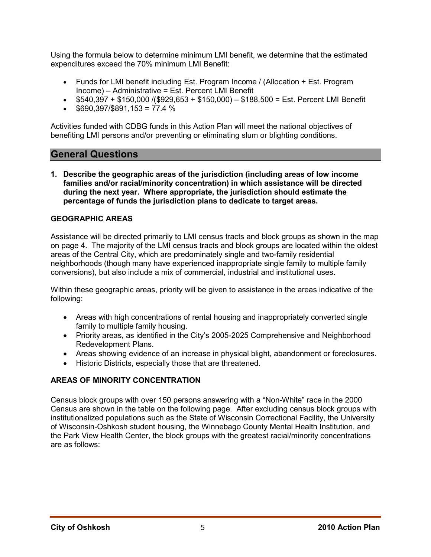Using the formula below to determine minimum LMI benefit, we determine that the estimated expenditures exceed the 70% minimum LMI Benefit:

- Funds for LMI benefit including Est. Program Income / (Allocation + Est. Program Income) – Administrative = Est. Percent LMI Benefit
- $$540,397 + $150,000$  /(\$929,653 + \$150,000) \$188,500 = Est. Percent LMI Benefit
- $$690,397/\$891,153 = 77.4 %$

Activities funded with CDBG funds in this Action Plan will meet the national objectives of benefiting LMI persons and/or preventing or eliminating slum or blighting conditions.

### **General Questions**

**1. Describe the geographic areas of the jurisdiction (including areas of low income families and/or racial/minority concentration) in which assistance will be directed during the next year. Where appropriate, the jurisdiction should estimate the percentage of funds the jurisdiction plans to dedicate to target areas.** 

#### **GEOGRAPHIC AREAS**

Assistance will be directed primarily to LMI census tracts and block groups as shown in the map on page 4. The majority of the LMI census tracts and block groups are located within the oldest areas of the Central City, which are predominately single and two-family residential neighborhoods (though many have experienced inappropriate single family to multiple family conversions), but also include a mix of commercial, industrial and institutional uses.

Within these geographic areas, priority will be given to assistance in the areas indicative of the following:

- Areas with high concentrations of rental housing and inappropriately converted single family to multiple family housing.
- Priority areas, as identified in the City's 2005-2025 Comprehensive and Neighborhood Redevelopment Plans.
- Areas showing evidence of an increase in physical blight, abandonment or foreclosures.
- Historic Districts, especially those that are threatened.

#### **AREAS OF MINORITY CONCENTRATION**

Census block groups with over 150 persons answering with a "Non-White" race in the 2000 Census are shown in the table on the following page. After excluding census block groups with institutionalized populations such as the State of Wisconsin Correctional Facility, the University of Wisconsin-Oshkosh student housing, the Winnebago County Mental Health Institution, and the Park View Health Center, the block groups with the greatest racial/minority concentrations are as follows: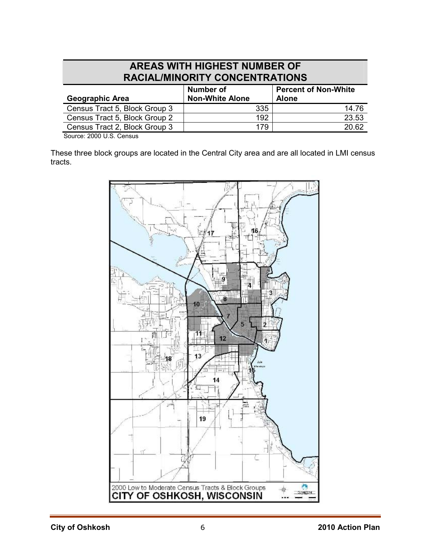### **AREAS WITH HIGHEST NUMBER OF RACIAL/MINORITY CONCENTRATIONS**

| Number of<br><b>Non-White Alone</b> | <b>Percent of Non-White</b><br><b>Alone</b> |
|-------------------------------------|---------------------------------------------|
| 335                                 | 14.76                                       |
| 192                                 | 23.53                                       |
| 179                                 | 20.62                                       |
|                                     |                                             |

Source: 2000 U.S. Census

These three block groups are located in the Central City area and are all located in LMI census tracts.

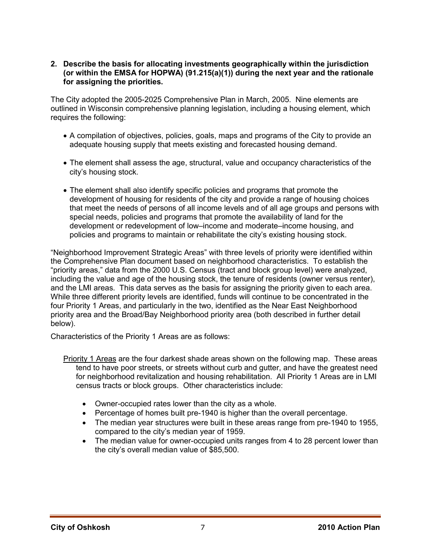#### **2. Describe the basis for allocating investments geographically within the jurisdiction (or within the EMSA for HOPWA) (91.215(a)(1)) during the next year and the rationale for assigning the priorities.**

The City adopted the 2005-2025 Comprehensive Plan in March, 2005. Nine elements are outlined in Wisconsin comprehensive planning legislation, including a housing element, which requires the following:

- A compilation of objectives, policies, goals, maps and programs of the City to provide an adequate housing supply that meets existing and forecasted housing demand.
- The element shall assess the age, structural, value and occupancy characteristics of the city's housing stock.
- The element shall also identify specific policies and programs that promote the development of housing for residents of the city and provide a range of housing choices that meet the needs of persons of all income levels and of all age groups and persons with special needs, policies and programs that promote the availability of land for the development or redevelopment of low–income and moderate–income housing, and policies and programs to maintain or rehabilitate the city's existing housing stock.

"Neighborhood Improvement Strategic Areas" with three levels of priority were identified within the Comprehensive Plan document based on neighborhood characteristics. To establish the "priority areas," data from the 2000 U.S. Census (tract and block group level) were analyzed, including the value and age of the housing stock, the tenure of residents (owner versus renter), and the LMI areas. This data serves as the basis for assigning the priority given to each area. While three different priority levels are identified, funds will continue to be concentrated in the four Priority 1 Areas, and particularly in the two, identified as the Near East Neighborhood priority area and the Broad/Bay Neighborhood priority area (both described in further detail below).

Characteristics of the Priority 1 Areas are as follows:

- Priority 1 Areas are the four darkest shade areas shown on the following map. These areas tend to have poor streets, or streets without curb and gutter, and have the greatest need for neighborhood revitalization and housing rehabilitation. All Priority 1 Areas are in LMI census tracts or block groups. Other characteristics include:
	- Owner-occupied rates lower than the city as a whole.
	- Percentage of homes built pre-1940 is higher than the overall percentage.
	- The median year structures were built in these areas range from pre-1940 to 1955, compared to the city's median year of 1959.
	- The median value for owner-occupied units ranges from 4 to 28 percent lower than the city's overall median value of \$85,500.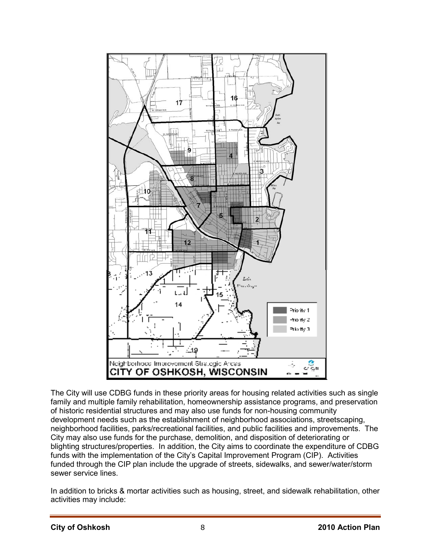

The City will use CDBG funds in these priority areas for housing related activities such as single family and multiple family rehabilitation, homeownership assistance programs, and preservation of historic residential structures and may also use funds for non-housing community development needs such as the establishment of neighborhood associations, streetscaping, neighborhood facilities, parks/recreational facilities, and public facilities and improvements. The City may also use funds for the purchase, demolition, and disposition of deteriorating or blighting structures/properties. In addition, the City aims to coordinate the expenditure of CDBG funds with the implementation of the City's Capital Improvement Program (CIP). Activities funded through the CIP plan include the upgrade of streets, sidewalks, and sewer/water/storm sewer service lines.

In addition to bricks & mortar activities such as housing, street, and sidewalk rehabilitation, other activities may include: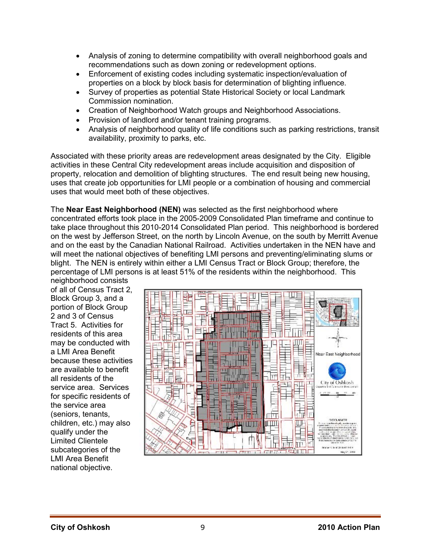- Analysis of zoning to determine compatibility with overall neighborhood goals and recommendations such as down zoning or redevelopment options.
- Enforcement of existing codes including systematic inspection/evaluation of properties on a block by block basis for determination of blighting influence.
- Survey of properties as potential State Historical Society or local Landmark Commission nomination.
- Creation of Neighborhood Watch groups and Neighborhood Associations.
- Provision of landlord and/or tenant training programs.
- Analysis of neighborhood quality of life conditions such as parking restrictions, transit availability, proximity to parks, etc.

Associated with these priority areas are redevelopment areas designated by the City. Eligible activities in these Central City redevelopment areas include acquisition and disposition of property, relocation and demolition of blighting structures. The end result being new housing, uses that create job opportunities for LMI people or a combination of housing and commercial uses that would meet both of these objectives.

The **Near East Neighborhood (NEN)** was selected as the first neighborhood where concentrated efforts took place in the 2005-2009 Consolidated Plan timeframe and continue to take place throughout this 2010-2014 Consolidated Plan period. This neighborhood is bordered on the west by Jefferson Street, on the north by Lincoln Avenue, on the south by Merritt Avenue and on the east by the Canadian National Railroad. Activities undertaken in the NEN have and will meet the national objectives of benefiting LMI persons and preventing/eliminating slums or blight. The NEN is entirely within either a LMI Census Tract or Block Group; therefore, the percentage of LMI persons is at least 51% of the residents within the neighborhood. This

neighborhood consists of all of Census Tract 2, Block Group 3, and a portion of Block Group 2 and 3 of Census Tract 5. Activities for residents of this area may be conducted with a LMI Area Benefit because these activities are available to benefit all residents of the service area. Services for specific residents of the service area (seniors, tenants, children, etc.) may also qualify under the Limited Clientele subcategories of the LMI Area Benefit national objective.

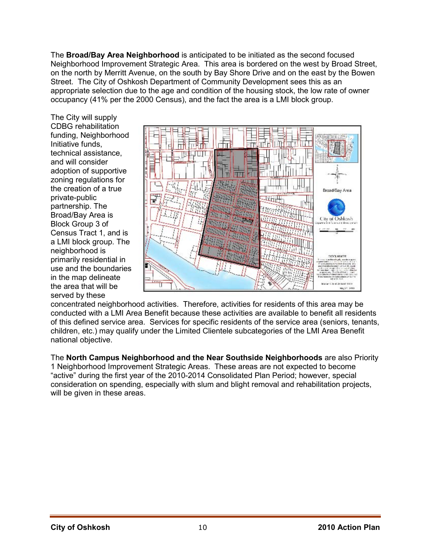The **Broad/Bay Area Neighborhood** is anticipated to be initiated as the second focused Neighborhood Improvement Strategic Area. This area is bordered on the west by Broad Street, on the north by Merritt Avenue, on the south by Bay Shore Drive and on the east by the Bowen Street. The City of Oshkosh Department of Community Development sees this as an appropriate selection due to the age and condition of the housing stock, the low rate of owner occupancy (41% per the 2000 Census), and the fact the area is a LMI block group.

The City will supply CDBG rehabilitation funding, Neighborhood Initiative funds, technical assistance, and will consider adoption of supportive zoning regulations for the creation of a true private-public partnership. The Broad/Bay Area is Block Group 3 of Census Tract 1, and is a LMI block group. The neighborhood is primarily residential in use and the boundaries in the map delineate the area that will be served by these



concentrated neighborhood activities. Therefore, activities for residents of this area may be conducted with a LMI Area Benefit because these activities are available to benefit all residents of this defined service area. Services for specific residents of the service area (seniors, tenants, children, etc.) may qualify under the Limited Clientele subcategories of the LMI Area Benefit national objective.

The **North Campus Neighborhood and the Near Southside Neighborhoods** are also Priority 1 Neighborhood Improvement Strategic Areas. These areas are not expected to become "active" during the first year of the 2010-2014 Consolidated Plan Period; however, special consideration on spending, especially with slum and blight removal and rehabilitation projects, will be given in these areas.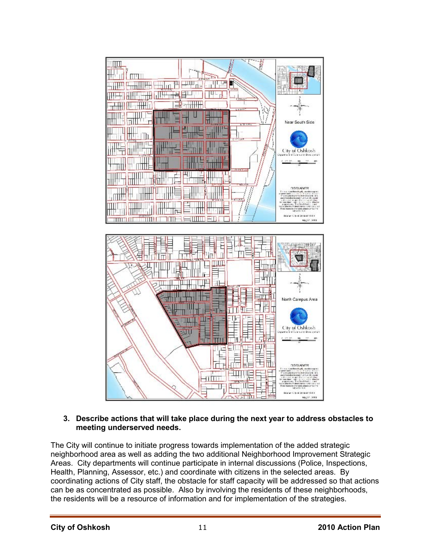

#### **3. Describe actions that will take place during the next year to address obstacles to meeting underserved needs.**

The City will continue to initiate progress towards implementation of the added strategic neighborhood area as well as adding the two additional Neighborhood Improvement Strategic Areas. City departments will continue participate in internal discussions (Police, Inspections, Health, Planning, Assessor, etc.) and coordinate with citizens in the selected areas. By coordinating actions of City staff, the obstacle for staff capacity will be addressed so that actions can be as concentrated as possible. Also by involving the residents of these neighborhoods, the residents will be a resource of information and for implementation of the strategies.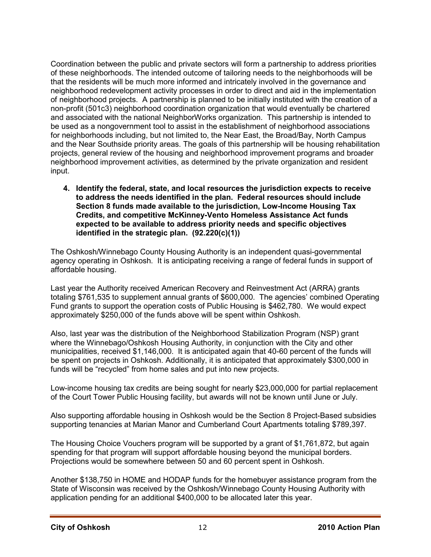Coordination between the public and private sectors will form a partnership to address priorities of these neighborhoods. The intended outcome of tailoring needs to the neighborhoods will be that the residents will be much more informed and intricately involved in the governance and neighborhood redevelopment activity processes in order to direct and aid in the implementation of neighborhood projects. A partnership is planned to be initially instituted with the creation of a non-profit (501c3) neighborhood coordination organization that would eventually be chartered and associated with the national NeighborWorks organization. This partnership is intended to be used as a nongovernment tool to assist in the establishment of neighborhood associations for neighborhoods including, but not limited to, the Near East, the Broad/Bay, North Campus and the Near Southside priority areas. The goals of this partnership will be housing rehabilitation projects, general review of the housing and neighborhood improvement programs and broader neighborhood improvement activities, as determined by the private organization and resident input.

**4. Identify the federal, state, and local resources the jurisdiction expects to receive to address the needs identified in the plan. Federal resources should include Section 8 funds made available to the jurisdiction, Low-Income Housing Tax Credits, and competitive McKinney-Vento Homeless Assistance Act funds expected to be available to address priority needs and specific objectives identified in the strategic plan. (92.220(c)(1))** 

The Oshkosh/Winnebago County Housing Authority is an independent quasi-governmental agency operating in Oshkosh. It is anticipating receiving a range of federal funds in support of affordable housing.

Last year the Authority received American Recovery and Reinvestment Act (ARRA) grants totaling \$761,535 to supplement annual grants of \$600,000. The agencies' combined Operating Fund grants to support the operation costs of Public Housing is \$462,780. We would expect approximately \$250,000 of the funds above will be spent within Oshkosh.

Also, last year was the distribution of the Neighborhood Stabilization Program (NSP) grant where the Winnebago/Oshkosh Housing Authority, in conjunction with the City and other municipalities, received \$1,146,000. It is anticipated again that 40-60 percent of the funds will be spent on projects in Oshkosh. Additionally, it is anticipated that approximately \$300,000 in funds will be "recycled" from home sales and put into new projects.

Low-income housing tax credits are being sought for nearly \$23,000,000 for partial replacement of the Court Tower Public Housing facility, but awards will not be known until June or July.

Also supporting affordable housing in Oshkosh would be the Section 8 Project-Based subsidies supporting tenancies at Marian Manor and Cumberland Court Apartments totaling \$789,397.

The Housing Choice Vouchers program will be supported by a grant of \$1,761,872, but again spending for that program will support affordable housing beyond the municipal borders. Projections would be somewhere between 50 and 60 percent spent in Oshkosh.

Another \$138,750 in HOME and HODAP funds for the homebuyer assistance program from the State of Wisconsin was received by the Oshkosh/Winnebago County Housing Authority with application pending for an additional \$400,000 to be allocated later this year.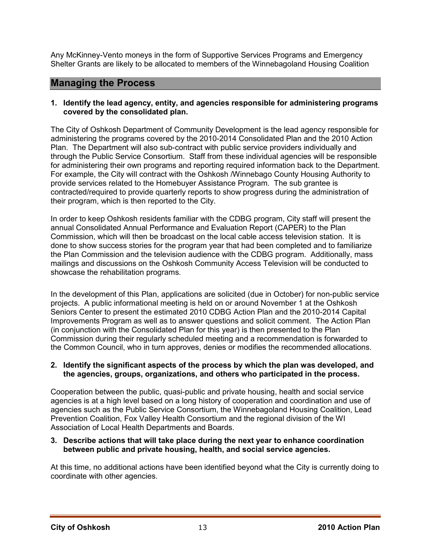Any McKinney-Vento moneys in the form of Supportive Services Programs and Emergency Shelter Grants are likely to be allocated to members of the Winnebagoland Housing Coalition

### **Managing the Process**

#### **1. Identify the lead agency, entity, and agencies responsible for administering programs covered by the consolidated plan.**

The City of Oshkosh Department of Community Development is the lead agency responsible for administering the programs covered by the 2010-2014 Consolidated Plan and the 2010 Action Plan. The Department will also sub-contract with public service providers individually and through the Public Service Consortium. Staff from these individual agencies will be responsible for administering their own programs and reporting required information back to the Department. For example, the City will contract with the Oshkosh /Winnebago County Housing Authority to provide services related to the Homebuyer Assistance Program. The sub grantee is contracted/required to provide quarterly reports to show progress during the administration of their program, which is then reported to the City.

In order to keep Oshkosh residents familiar with the CDBG program, City staff will present the annual Consolidated Annual Performance and Evaluation Report (CAPER) to the Plan Commission, which will then be broadcast on the local cable access television station. It is done to show success stories for the program year that had been completed and to familiarize the Plan Commission and the television audience with the CDBG program. Additionally, mass mailings and discussions on the Oshkosh Community Access Television will be conducted to showcase the rehabilitation programs.

In the development of this Plan, applications are solicited (due in October) for non-public service projects. A public informational meeting is held on or around November 1 at the Oshkosh Seniors Center to present the estimated 2010 CDBG Action Plan and the 2010-2014 Capital Improvements Program as well as to answer questions and solicit comment. The Action Plan (in conjunction with the Consolidated Plan for this year) is then presented to the Plan Commission during their regularly scheduled meeting and a recommendation is forwarded to the Common Council, who in turn approves, denies or modifies the recommended allocations.

#### **2. Identify the significant aspects of the process by which the plan was developed, and the agencies, groups, organizations, and others who participated in the process.**

Cooperation between the public, quasi-public and private housing, health and social service agencies is at a high level based on a long history of cooperation and coordination and use of agencies such as the Public Service Consortium, the Winnebagoland Housing Coalition, Lead Prevention Coalition, Fox Valley Health Consortium and the regional division of the WI Association of Local Health Departments and Boards.

#### **3. Describe actions that will take place during the next year to enhance coordination between public and private housing, health, and social service agencies.**

At this time, no additional actions have been identified beyond what the City is currently doing to coordinate with other agencies.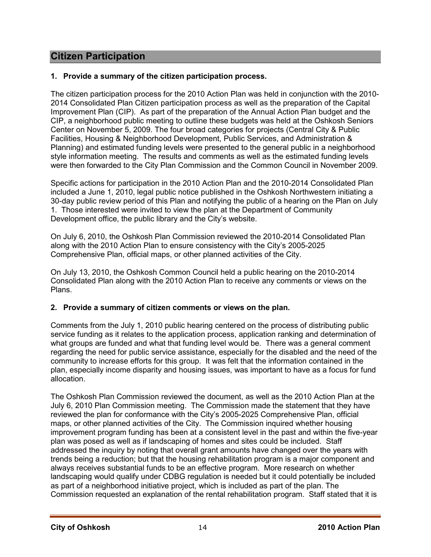### **Citizen Participation**

#### **1. Provide a summary of the citizen participation process.**

The citizen participation process for the 2010 Action Plan was held in conjunction with the 2010- 2014 Consolidated Plan Citizen participation process as well as the preparation of the Capital Improvement Plan (CIP). As part of the preparation of the Annual Action Plan budget and the CIP, a neighborhood public meeting to outline these budgets was held at the Oshkosh Seniors Center on November 5, 2009. The four broad categories for projects (Central City & Public Facilities, Housing & Neighborhood Development, Public Services, and Administration & Planning) and estimated funding levels were presented to the general public in a neighborhood style information meeting. The results and comments as well as the estimated funding levels were then forwarded to the City Plan Commission and the Common Council in November 2009.

Specific actions for participation in the 2010 Action Plan and the 2010-2014 Consolidated Plan included a June 1, 2010, legal public notice published in the Oshkosh Northwestern initiating a 30-day public review period of this Plan and notifying the public of a hearing on the Plan on July 1. Those interested were invited to view the plan at the Department of Community Development office, the public library and the City's website.

On July 6, 2010, the Oshkosh Plan Commission reviewed the 2010-2014 Consolidated Plan along with the 2010 Action Plan to ensure consistency with the City's 2005-2025 Comprehensive Plan, official maps, or other planned activities of the City.

On July 13, 2010, the Oshkosh Common Council held a public hearing on the 2010-2014 Consolidated Plan along with the 2010 Action Plan to receive any comments or views on the Plans.

#### **2. Provide a summary of citizen comments or views on the plan.**

Comments from the July 1, 2010 public hearing centered on the process of distributing public service funding as it relates to the application process, application ranking and determination of what groups are funded and what that funding level would be. There was a general comment regarding the need for public service assistance, especially for the disabled and the need of the community to increase efforts for this group. It was felt that the information contained in the plan, especially income disparity and housing issues, was important to have as a focus for fund allocation.

The Oshkosh Plan Commission reviewed the document, as well as the 2010 Action Plan at the July 6, 2010 Plan Commission meeting. The Commission made the statement that they have reviewed the plan for conformance with the City's 2005-2025 Comprehensive Plan, official maps, or other planned activities of the City. The Commission inquired whether housing improvement program funding has been at a consistent level in the past and within the five-year plan was posed as well as if landscaping of homes and sites could be included. Staff addressed the inquiry by noting that overall grant amounts have changed over the years with trends being a reduction; but that the housing rehabilitation program is a major component and always receives substantial funds to be an effective program. More research on whether landscaping would qualify under CDBG regulation is needed but it could potentially be included as part of a neighborhood initiative project, which is included as part of the plan. The Commission requested an explanation of the rental rehabilitation program. Staff stated that it is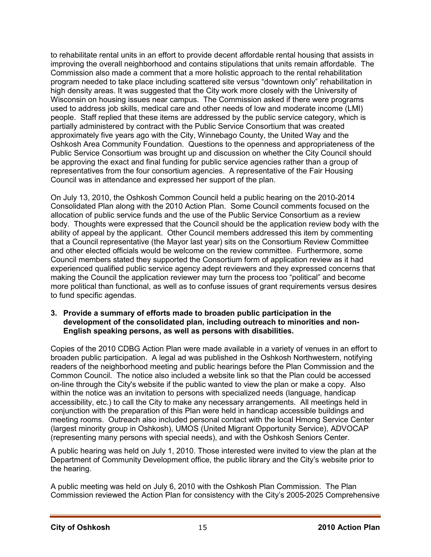to rehabilitate rental units in an effort to provide decent affordable rental housing that assists in improving the overall neighborhood and contains stipulations that units remain affordable. The Commission also made a comment that a more holistic approach to the rental rehabilitation program needed to take place including scattered site versus "downtown only" rehabilitation in high density areas. It was suggested that the City work more closely with the University of Wisconsin on housing issues near campus. The Commission asked if there were programs used to address job skills, medical care and other needs of low and moderate income (LMI) people. Staff replied that these items are addressed by the public service category, which is partially administered by contract with the Public Service Consortium that was created approximately five years ago with the City, Winnebago County, the United Way and the Oshkosh Area Community Foundation. Questions to the openness and appropriateness of the Public Service Consortium was brought up and discussion on whether the City Council should be approving the exact and final funding for public service agencies rather than a group of representatives from the four consortium agencies. A representative of the Fair Housing Council was in attendance and expressed her support of the plan.

On July 13, 2010, the Oshkosh Common Council held a public hearing on the 2010-2014 Consolidated Plan along with the 2010 Action Plan. Some Council comments focused on the allocation of public service funds and the use of the Public Service Consortium as a review body. Thoughts were expressed that the Council should be the application review body with the ability of appeal by the applicant. Other Council members addressed this item by commenting that a Council representative (the Mayor last year) sits on the Consortium Review Committee and other elected officials would be welcome on the review committee. Furthermore, some Council members stated they supported the Consortium form of application review as it had experienced qualified public service agency adept reviewers and they expressed concerns that making the Council the application reviewer may turn the process too "political" and become more political than functional, as well as to confuse issues of grant requirements versus desires to fund specific agendas.

#### **3. Provide a summary of efforts made to broaden public participation in the development of the consolidated plan, including outreach to minorities and non-English speaking persons, as well as persons with disabilities.**

Copies of the 2010 CDBG Action Plan were made available in a variety of venues in an effort to broaden public participation. A legal ad was published in the Oshkosh Northwestern, notifying readers of the neighborhood meeting and public hearings before the Plan Commission and the Common Council. The notice also included a website link so that the Plan could be accessed on-line through the City's website if the public wanted to view the plan or make a copy. Also within the notice was an invitation to persons with specialized needs (language, handicap accessibility, etc.) to call the City to make any necessary arrangements. All meetings held in conjunction with the preparation of this Plan were held in handicap accessible buildings and meeting rooms. Outreach also included personal contact with the local Hmong Service Center (largest minority group in Oshkosh), UMOS (United Migrant Opportunity Service), ADVOCAP (representing many persons with special needs), and with the Oshkosh Seniors Center.

A public hearing was held on July 1, 2010. Those interested were invited to view the plan at the Department of Community Development office, the public library and the City's website prior to the hearing.

A public meeting was held on July 6, 2010 with the Oshkosh Plan Commission. The Plan Commission reviewed the Action Plan for consistency with the City's 2005-2025 Comprehensive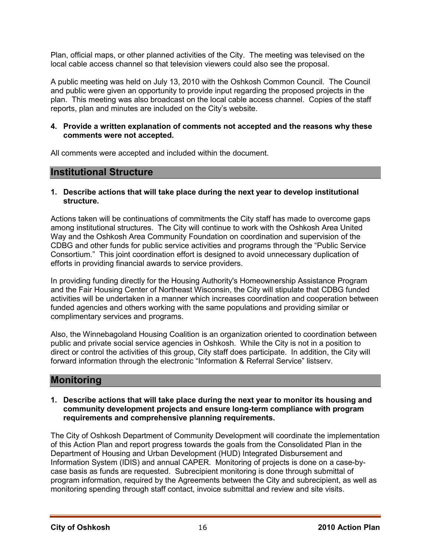Plan, official maps, or other planned activities of the City. The meeting was televised on the local cable access channel so that television viewers could also see the proposal.

A public meeting was held on July 13, 2010 with the Oshkosh Common Council. The Council and public were given an opportunity to provide input regarding the proposed projects in the plan. This meeting was also broadcast on the local cable access channel. Copies of the staff reports, plan and minutes are included on the City's website.

#### **4. Provide a written explanation of comments not accepted and the reasons why these comments were not accepted.**

All comments were accepted and included within the document.

### **Institutional Structure**

**1. Describe actions that will take place during the next year to develop institutional structure.** 

Actions taken will be continuations of commitments the City staff has made to overcome gaps among institutional structures. The City will continue to work with the Oshkosh Area United Way and the Oshkosh Area Community Foundation on coordination and supervision of the CDBG and other funds for public service activities and programs through the "Public Service Consortium." This joint coordination effort is designed to avoid unnecessary duplication of efforts in providing financial awards to service providers.

In providing funding directly for the Housing Authority's Homeownership Assistance Program and the Fair Housing Center of Northeast Wisconsin, the City will stipulate that CDBG funded activities will be undertaken in a manner which increases coordination and cooperation between funded agencies and others working with the same populations and providing similar or complimentary services and programs.

Also, the Winnebagoland Housing Coalition is an organization oriented to coordination between public and private social service agencies in Oshkosh. While the City is not in a position to direct or control the activities of this group, City staff does participate. In addition, the City will forward information through the electronic "Information & Referral Service" listserv.

### **Monitoring**

**1. Describe actions that will take place during the next year to monitor its housing and community development projects and ensure long-term compliance with program requirements and comprehensive planning requirements.** 

The City of Oshkosh Department of Community Development will coordinate the implementation of this Action Plan and report progress towards the goals from the Consolidated Plan in the Department of Housing and Urban Development (HUD) Integrated Disbursement and Information System (IDIS) and annual CAPER. Monitoring of projects is done on a case-bycase basis as funds are requested. Subrecipient monitoring is done through submittal of program information, required by the Agreements between the City and subrecipient, as well as monitoring spending through staff contact, invoice submittal and review and site visits.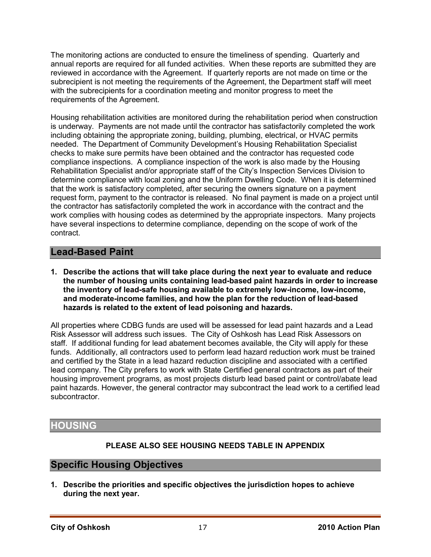The monitoring actions are conducted to ensure the timeliness of spending. Quarterly and annual reports are required for all funded activities. When these reports are submitted they are reviewed in accordance with the Agreement. If quarterly reports are not made on time or the subrecipient is not meeting the requirements of the Agreement, the Department staff will meet with the subrecipients for a coordination meeting and monitor progress to meet the requirements of the Agreement.

Housing rehabilitation activities are monitored during the rehabilitation period when construction is underway. Payments are not made until the contractor has satisfactorily completed the work including obtaining the appropriate zoning, building, plumbing, electrical, or HVAC permits needed. The Department of Community Development's Housing Rehabilitation Specialist checks to make sure permits have been obtained and the contractor has requested code compliance inspections. A compliance inspection of the work is also made by the Housing Rehabilitation Specialist and/or appropriate staff of the City's Inspection Services Division to determine compliance with local zoning and the Uniform Dwelling Code. When it is determined that the work is satisfactory completed, after securing the owners signature on a payment request form, payment to the contractor is released. No final payment is made on a project until the contractor has satisfactorily completed the work in accordance with the contract and the work complies with housing codes as determined by the appropriate inspectors. Many projects have several inspections to determine compliance, depending on the scope of work of the contract.

### **Lead-Based Paint**

**1. Describe the actions that will take place during the next year to evaluate and reduce the number of housing units containing lead-based paint hazards in order to increase the inventory of lead-safe housing available to extremely low-income, low-income, and moderate-income families, and how the plan for the reduction of lead-based hazards is related to the extent of lead poisoning and hazards.** 

All properties where CDBG funds are used will be assessed for lead paint hazards and a Lead Risk Assessor will address such issues. The City of Oshkosh has Lead Risk Assessors on staff. If additional funding for lead abatement becomes available, the City will apply for these funds. Additionally, all contractors used to perform lead hazard reduction work must be trained and certified by the State in a lead hazard reduction discipline and associated with a certified lead company. The City prefers to work with State Certified general contractors as part of their housing improvement programs, as most projects disturb lead based paint or control/abate lead paint hazards. However, the general contractor may subcontract the lead work to a certified lead subcontractor.

## **HOUSING**

### **PLEASE ALSO SEE HOUSING NEEDS TABLE IN APPENDIX**

### **Specific Housing Objectives**

**1. Describe the priorities and specific objectives the jurisdiction hopes to achieve during the next year.**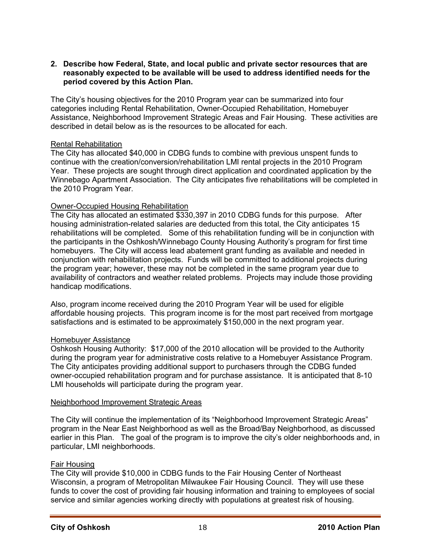#### **2. Describe how Federal, State, and local public and private sector resources that are reasonably expected to be available will be used to address identified needs for the period covered by this Action Plan.**

The City's housing objectives for the 2010 Program year can be summarized into four categories including Rental Rehabilitation, Owner-Occupied Rehabilitation, Homebuyer Assistance, Neighborhood Improvement Strategic Areas and Fair Housing. These activities are described in detail below as is the resources to be allocated for each.

#### Rental Rehabilitation

The City has allocated \$40,000 in CDBG funds to combine with previous unspent funds to continue with the creation/conversion/rehabilitation LMI rental projects in the 2010 Program Year. These projects are sought through direct application and coordinated application by the Winnebago Apartment Association. The City anticipates five rehabilitations will be completed in the 2010 Program Year.

#### Owner-Occupied Housing Rehabilitation

The City has allocated an estimated \$330,397 in 2010 CDBG funds for this purpose. After housing administration-related salaries are deducted from this total, the City anticipates 15 rehabilitations will be completed. Some of this rehabilitation funding will be in conjunction with the participants in the Oshkosh/Winnebago County Housing Authority's program for first time homebuyers. The City will access lead abatement grant funding as available and needed in conjunction with rehabilitation projects. Funds will be committed to additional projects during the program year; however, these may not be completed in the same program year due to availability of contractors and weather related problems. Projects may include those providing handicap modifications.

Also, program income received during the 2010 Program Year will be used for eligible affordable housing projects. This program income is for the most part received from mortgage satisfactions and is estimated to be approximately \$150,000 in the next program year.

#### Homebuyer Assistance

Oshkosh Housing Authority: \$17,000 of the 2010 allocation will be provided to the Authority during the program year for administrative costs relative to a Homebuyer Assistance Program. The City anticipates providing additional support to purchasers through the CDBG funded owner-occupied rehabilitation program and for purchase assistance. It is anticipated that 8-10 LMI households will participate during the program year.

#### Neighborhood Improvement Strategic Areas

The City will continue the implementation of its "Neighborhood Improvement Strategic Areas" program in the Near East Neighborhood as well as the Broad/Bay Neighborhood, as discussed earlier in this Plan. The goal of the program is to improve the city's older neighborhoods and, in particular, LMI neighborhoods.

#### Fair Housing

The City will provide \$10,000 in CDBG funds to the Fair Housing Center of Northeast Wisconsin, a program of Metropolitan Milwaukee Fair Housing Council. They will use these funds to cover the cost of providing fair housing information and training to employees of social service and similar agencies working directly with populations at greatest risk of housing.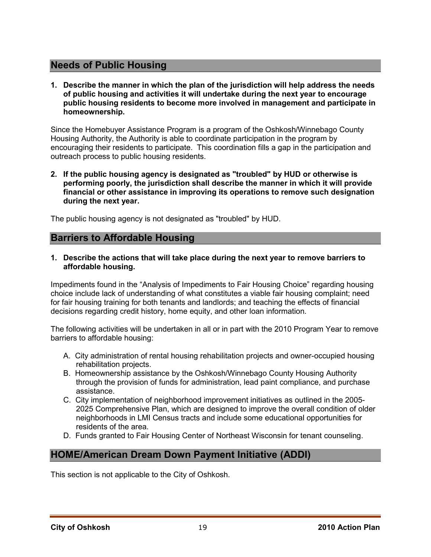### **Needs of Public Housing**

**1. Describe the manner in which the plan of the jurisdiction will help address the needs of public housing and activities it will undertake during the next year to encourage public housing residents to become more involved in management and participate in homeownership.** 

Since the Homebuyer Assistance Program is a program of the Oshkosh/Winnebago County Housing Authority, the Authority is able to coordinate participation in the program by encouraging their residents to participate. This coordination fills a gap in the participation and outreach process to public housing residents.

**2. If the public housing agency is designated as "troubled" by HUD or otherwise is performing poorly, the jurisdiction shall describe the manner in which it will provide financial or other assistance in improving its operations to remove such designation during the next year.** 

The public housing agency is not designated as "troubled" by HUD.

### **Barriers to Affordable Housing**

**1. Describe the actions that will take place during the next year to remove barriers to affordable housing.** 

Impediments found in the "Analysis of Impediments to Fair Housing Choice" regarding housing choice include lack of understanding of what constitutes a viable fair housing complaint; need for fair housing training for both tenants and landlords; and teaching the effects of financial decisions regarding credit history, home equity, and other loan information.

The following activities will be undertaken in all or in part with the 2010 Program Year to remove barriers to affordable housing:

- A. City administration of rental housing rehabilitation projects and owner-occupied housing rehabilitation projects.
- B. Homeownership assistance by the Oshkosh/Winnebago County Housing Authority through the provision of funds for administration, lead paint compliance, and purchase assistance.
- C. City implementation of neighborhood improvement initiatives as outlined in the 2005- 2025 Comprehensive Plan, which are designed to improve the overall condition of older neighborhoods in LMI Census tracts and include some educational opportunities for residents of the area.
- D. Funds granted to Fair Housing Center of Northeast Wisconsin for tenant counseling.

### **HOME/American Dream Down Payment Initiative (ADDI)**

This section is not applicable to the City of Oshkosh.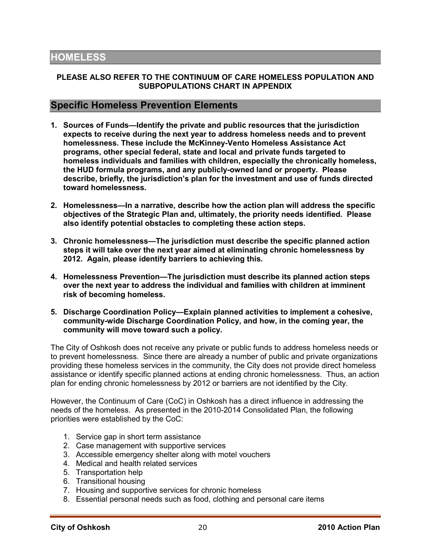#### **PLEASE ALSO REFER TO THE CONTINUUM OF CARE HOMELESS POPULATION AND SUBPOPULATIONS CHART IN APPENDIX**

#### **Specific Homeless Prevention Elements**

- **1. Sources of Funds—Identify the private and public resources that the jurisdiction expects to receive during the next year to address homeless needs and to prevent homelessness. These include the McKinney-Vento Homeless Assistance Act programs, other special federal, state and local and private funds targeted to homeless individuals and families with children, especially the chronically homeless, the HUD formula programs, and any publicly-owned land or property. Please describe, briefly, the jurisdiction's plan for the investment and use of funds directed toward homelessness.**
- **2. Homelessness—In a narrative, describe how the action plan will address the specific objectives of the Strategic Plan and, ultimately, the priority needs identified. Please also identify potential obstacles to completing these action steps.**
- **3. Chronic homelessness—The jurisdiction must describe the specific planned action steps it will take over the next year aimed at eliminating chronic homelessness by 2012. Again, please identify barriers to achieving this.**
- **4. Homelessness Prevention—The jurisdiction must describe its planned action steps over the next year to address the individual and families with children at imminent risk of becoming homeless.**
- **5. Discharge Coordination Policy—Explain planned activities to implement a cohesive, community-wide Discharge Coordination Policy, and how, in the coming year, the community will move toward such a policy.**

The City of Oshkosh does not receive any private or public funds to address homeless needs or to prevent homelessness. Since there are already a number of public and private organizations providing these homeless services in the community, the City does not provide direct homeless assistance or identify specific planned actions at ending chronic homelessness. Thus, an action plan for ending chronic homelessness by 2012 or barriers are not identified by the City.

However, the Continuum of Care (CoC) in Oshkosh has a direct influence in addressing the needs of the homeless. As presented in the 2010-2014 Consolidated Plan, the following priorities were established by the CoC:

- 1. Service gap in short term assistance
- 2. Case management with supportive services
- 3. Accessible emergency shelter along with motel vouchers
- 4. Medical and health related services
- 5. Transportation help
- 6. Transitional housing
- 7. Housing and supportive services for chronic homeless
- 8. Essential personal needs such as food, clothing and personal care items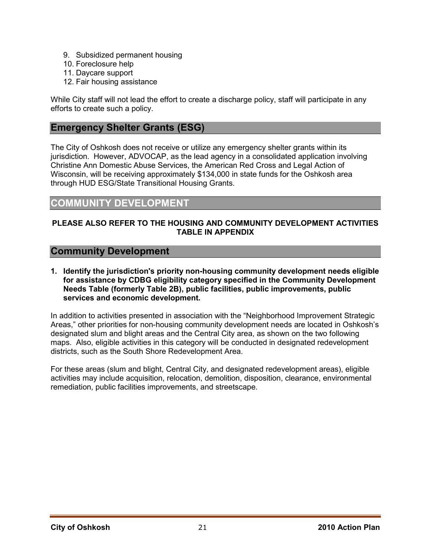- 9. Subsidized permanent housing
- 10. Foreclosure help
- 11. Daycare support
- 12. Fair housing assistance

While City staff will not lead the effort to create a discharge policy, staff will participate in any efforts to create such a policy.

### **Emergency Shelter Grants (ESG)**

The City of Oshkosh does not receive or utilize any emergency shelter grants within its jurisdiction. However, ADVOCAP, as the lead agency in a consolidated application involving Christine Ann Domestic Abuse Services, the American Red Cross and Legal Action of Wisconsin, will be receiving approximately \$134,000 in state funds for the Oshkosh area through HUD ESG/State Transitional Housing Grants.

### **COMMUNITY DEVELOPMENT**

#### **PLEASE ALSO REFER TO THE HOUSING AND COMMUNITY DEVELOPMENT ACTIVITIES TABLE IN APPENDIX**

#### **Community Development**

**1. Identify the jurisdiction's priority non-housing community development needs eligible for assistance by CDBG eligibility category specified in the Community Development Needs Table (formerly Table 2B), public facilities, public improvements, public services and economic development.** 

In addition to activities presented in association with the "Neighborhood Improvement Strategic Areas," other priorities for non-housing community development needs are located in Oshkosh's designated slum and blight areas and the Central City area, as shown on the two following maps. Also, eligible activities in this category will be conducted in designated redevelopment districts, such as the South Shore Redevelopment Area.

For these areas (slum and blight, Central City, and designated redevelopment areas), eligible activities may include acquisition, relocation, demolition, disposition, clearance, environmental remediation, public facilities improvements, and streetscape.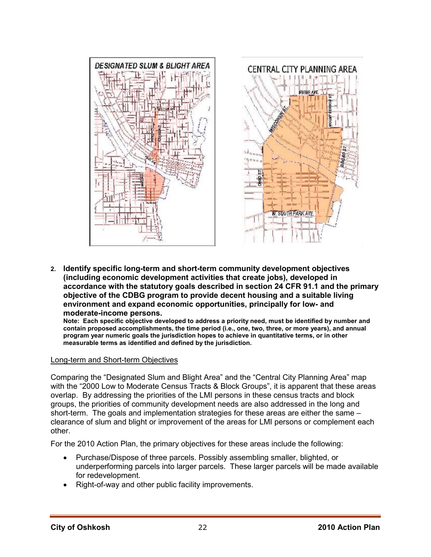

**2. Identify specific long-term and short-term community development objectives (including economic development activities that create jobs), developed in accordance with the statutory goals described in section 24 CFR 91.1 and the primary objective of the CDBG program to provide decent housing and a suitable living environment and expand economic opportunities, principally for low- and moderate-income persons.** 

**Note: Each specific objective developed to address a priority need, must be identified by number and contain proposed accomplishments, the time period (i.e., one, two, three, or more years), and annual program year numeric goals the jurisdiction hopes to achieve in quantitative terms, or in other measurable terms as identified and defined by the jurisdiction.** 

#### Long-term and Short-term Objectives

Comparing the "Designated Slum and Blight Area" and the "Central City Planning Area" map with the "2000 Low to Moderate Census Tracts & Block Groups", it is apparent that these areas overlap. By addressing the priorities of the LMI persons in these census tracts and block groups, the priorities of community development needs are also addressed in the long and short-term. The goals and implementation strategies for these areas are either the same – clearance of slum and blight or improvement of the areas for LMI persons or complement each other.

For the 2010 Action Plan, the primary objectives for these areas include the following:

- Purchase/Dispose of three parcels. Possibly assembling smaller, blighted, or underperforming parcels into larger parcels. These larger parcels will be made available for redevelopment.
- Right-of-way and other public facility improvements.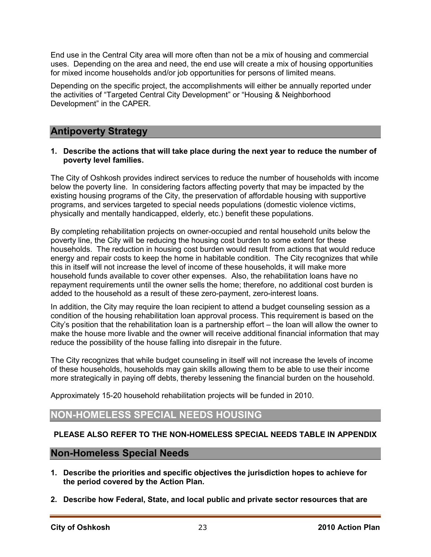End use in the Central City area will more often than not be a mix of housing and commercial uses. Depending on the area and need, the end use will create a mix of housing opportunities for mixed income households and/or job opportunities for persons of limited means.

Depending on the specific project, the accomplishments will either be annually reported under the activities of "Targeted Central City Development" or "Housing & Neighborhood Development" in the CAPER.

### **Antipoverty Strategy**

#### **1. Describe the actions that will take place during the next year to reduce the number of poverty level families.**

The City of Oshkosh provides indirect services to reduce the number of households with income below the poverty line. In considering factors affecting poverty that may be impacted by the existing housing programs of the City, the preservation of affordable housing with supportive programs, and services targeted to special needs populations (domestic violence victims, physically and mentally handicapped, elderly, etc.) benefit these populations.

By completing rehabilitation projects on owner-occupied and rental household units below the poverty line, the City will be reducing the housing cost burden to some extent for these households. The reduction in housing cost burden would result from actions that would reduce energy and repair costs to keep the home in habitable condition. The City recognizes that while this in itself will not increase the level of income of these households, it will make more household funds available to cover other expenses. Also, the rehabilitation loans have no repayment requirements until the owner sells the home; therefore, no additional cost burden is added to the household as a result of these zero-payment, zero-interest loans.

In addition, the City may require the loan recipient to attend a budget counseling session as a condition of the housing rehabilitation loan approval process. This requirement is based on the City's position that the rehabilitation loan is a partnership effort – the loan will allow the owner to make the house more livable and the owner will receive additional financial information that may reduce the possibility of the house falling into disrepair in the future.

The City recognizes that while budget counseling in itself will not increase the levels of income of these households, households may gain skills allowing them to be able to use their income more strategically in paying off debts, thereby lessening the financial burden on the household.

Approximately 15-20 household rehabilitation projects will be funded in 2010.

### **NON-HOMELESS SPECIAL NEEDS HOUSING**

#### **PLEASE ALSO REFER TO THE NON-HOMELESS SPECIAL NEEDS TABLE IN APPENDIX**

#### **Non-Homeless Special Needs**

- **1. Describe the priorities and specific objectives the jurisdiction hopes to achieve for the period covered by the Action Plan.**
- **2. Describe how Federal, State, and local public and private sector resources that are**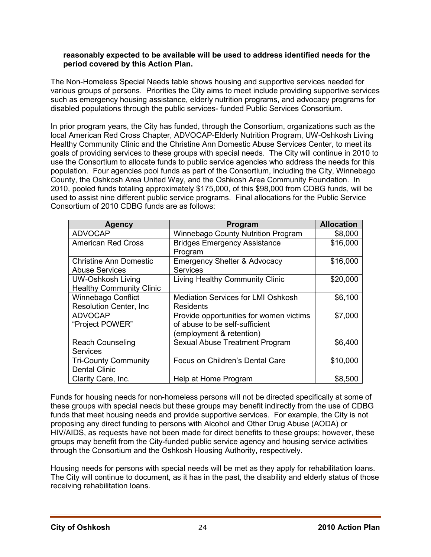#### **reasonably expected to be available will be used to address identified needs for the period covered by this Action Plan.**

The Non-Homeless Special Needs table shows housing and supportive services needed for various groups of persons. Priorities the City aims to meet include providing supportive services such as emergency housing assistance, elderly nutrition programs, and advocacy programs for disabled populations through the public services- funded Public Services Consortium.

In prior program years, the City has funded, through the Consortium, organizations such as the local American Red Cross Chapter, ADVOCAP-Elderly Nutrition Program, UW-Oshkosh Living Healthy Community Clinic and the Christine Ann Domestic Abuse Services Center, to meet its goals of providing services to these groups with special needs. The City will continue in 2010 to use the Consortium to allocate funds to public service agencies who address the needs for this population. Four agencies pool funds as part of the Consortium, including the City, Winnebago County, the Oshkosh Area United Way, and the Oshkosh Area Community Foundation. In 2010, pooled funds totaling approximately \$175,000, of this \$98,000 from CDBG funds, will be used to assist nine different public service programs. Final allocations for the Public Service Consortium of 2010 CDBG funds are as follows:

| <b>Agency</b>                   | <b>Program</b>                                 | <b>Allocation</b> |
|---------------------------------|------------------------------------------------|-------------------|
| <b>ADVOCAP</b>                  | <b>Winnebago County Nutrition Program</b>      | \$8,000           |
| <b>American Red Cross</b>       | <b>Bridges Emergency Assistance</b><br>Program | \$16,000          |
| <b>Christine Ann Domestic</b>   | <b>Emergency Shelter &amp; Advocacy</b>        | \$16,000          |
| <b>Abuse Services</b>           | <b>Services</b>                                |                   |
| <b>UW-Oshkosh Living</b>        | Living Healthy Community Clinic                | \$20,000          |
| <b>Healthy Community Clinic</b> |                                                |                   |
| Winnebago Conflict              | <b>Mediation Services for LMI Oshkosh</b>      | \$6,100           |
| <b>Resolution Center, Inc.</b>  | Residents                                      |                   |
| <b>ADVOCAP</b>                  | Provide opportunities for women victims        | \$7,000           |
| "Project POWER"                 | of abuse to be self-sufficient                 |                   |
|                                 | (employment & retention)                       |                   |
| <b>Reach Counseling</b>         | Sexual Abuse Treatment Program                 | \$6,400           |
| <b>Services</b>                 |                                                |                   |
| <b>Tri-County Community</b>     | Focus on Children's Dental Care                | \$10,000          |
| <b>Dental Clinic</b>            |                                                |                   |
| Clarity Care, Inc.              | Help at Home Program                           | \$8,500           |

Funds for housing needs for non-homeless persons will not be directed specifically at some of these groups with special needs but these groups may benefit indirectly from the use of CDBG funds that meet housing needs and provide supportive services. For example, the City is not proposing any direct funding to persons with Alcohol and Other Drug Abuse (AODA) or HIV/AIDS, as requests have not been made for direct benefits to these groups; however, these groups may benefit from the City-funded public service agency and housing service activities through the Consortium and the Oshkosh Housing Authority, respectively.

Housing needs for persons with special needs will be met as they apply for rehabilitation loans. The City will continue to document, as it has in the past, the disability and elderly status of those receiving rehabilitation loans.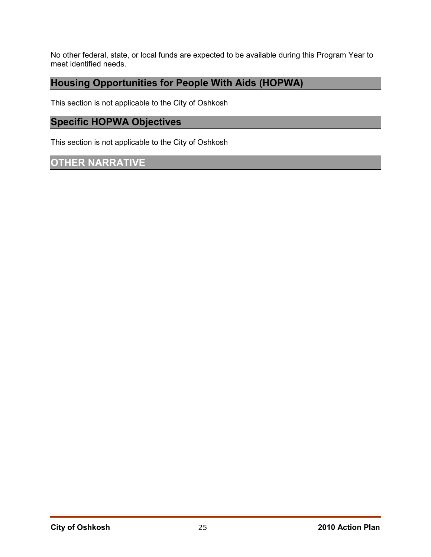No other federal, state, or local funds are expected to be available during this Program Year to meet identified needs.

### **Housing Opportunities for People With Aids (HOPWA)**

This section is not applicable to the City of Oshkosh

### **Specific HOPWA Objectives**

This section is not applicable to the City of Oshkosh

### **OTHER NARRATIVE**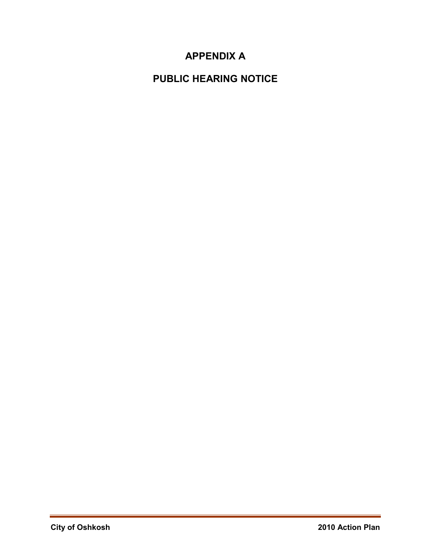## **APPENDIX A**

## **PUBLIC HEARING NOTICE**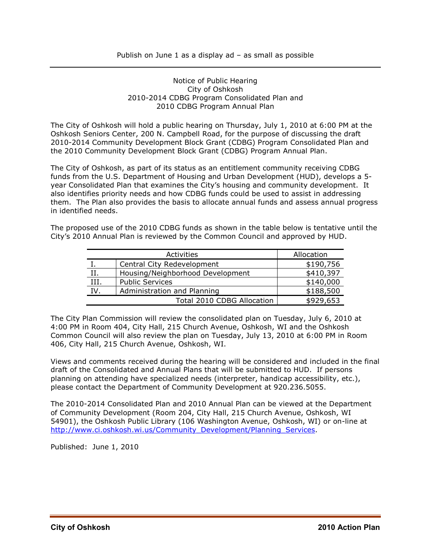#### Notice of Public Hearing City of Oshkosh 2010-2014 CDBG Program Consolidated Plan and 2010 CDBG Program Annual Plan

The City of Oshkosh will hold a public hearing on Thursday, July 1, 2010 at 6:00 PM at the Oshkosh Seniors Center, 200 N. Campbell Road, for the purpose of discussing the draft 2010-2014 Community Development Block Grant (CDBG) Program Consolidated Plan and the 2010 Community Development Block Grant (CDBG) Program Annual Plan.

The City of Oshkosh, as part of its status as an entitlement community receiving CDBG funds from the U.S. Department of Housing and Urban Development (HUD), develops a 5 year Consolidated Plan that examines the City's housing and community development. It also identifies priority needs and how CDBG funds could be used to assist in addressing them. The Plan also provides the basis to allocate annual funds and assess annual progress in identified needs.

The proposed use of the 2010 CDBG funds as shown in the table below is tentative until the City's 2010 Annual Plan is reviewed by the Common Council and approved by HUD.

|      | Activities                       | Allocation |
|------|----------------------------------|------------|
|      | Central City Redevelopment       | \$190,756  |
| Π.   | Housing/Neighborhood Development | \$410,397  |
| III. | <b>Public Services</b>           | \$140,000  |
| IV.  | Administration and Planning      | \$188,500  |
|      | Total 2010 CDBG Allocation       | \$929,653  |

The City Plan Commission will review the consolidated plan on Tuesday, July 6, 2010 at 4:00 PM in Room 404, City Hall, 215 Church Avenue, Oshkosh, WI and the Oshkosh Common Council will also review the plan on Tuesday, July 13, 2010 at 6:00 PM in Room 406, City Hall, 215 Church Avenue, Oshkosh, WI.

Views and comments received during the hearing will be considered and included in the final draft of the Consolidated and Annual Plans that will be submitted to HUD. If persons planning on attending have specialized needs (interpreter, handicap accessibility, etc.), please contact the Department of Community Development at 920.236.5055.

The 2010-2014 Consolidated Plan and 2010 Annual Plan can be viewed at the Department of Community Development (Room 204, City Hall, 215 Church Avenue, Oshkosh, WI 54901), the Oshkosh Public Library (106 Washington Avenue, Oshkosh, WI) or on-line at http://www.ci.oshkosh.wi.us/Community\_Development/Planning\_Services.

Published: June 1, 2010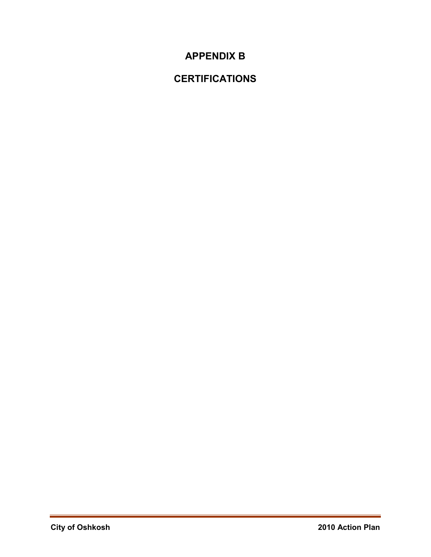## **APPENDIX B**

## **CERTIFICATIONS**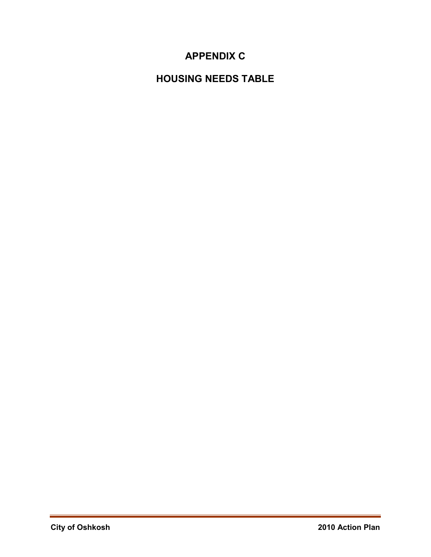## **APPENDIX C**

## **HOUSING NEEDS TABLE**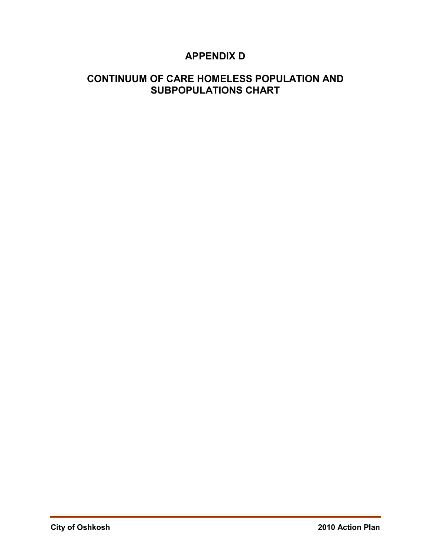## **APPENDIX D**

### **CONTINUUM OF CARE HOMELESS POPULATION AND SUBPOPULATIONS CHART**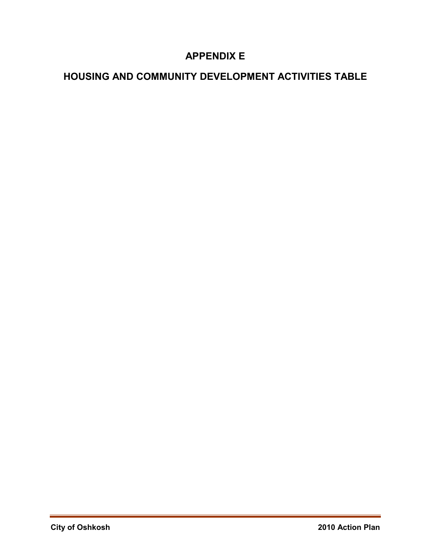## **APPENDIX E**

## **HOUSING AND COMMUNITY DEVELOPMENT ACTIVITIES TABLE**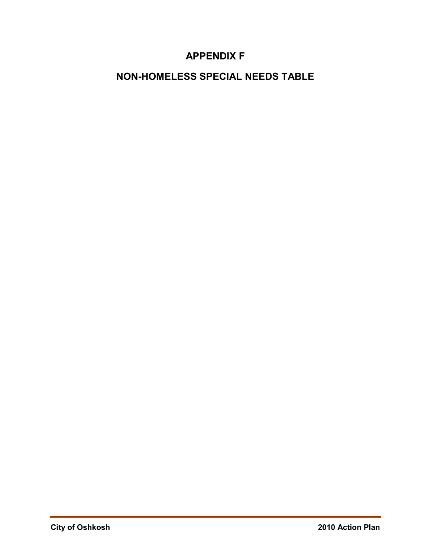### **APPENDIX F**

## **NON-HOMELESS SPECIAL NEEDS TABLE**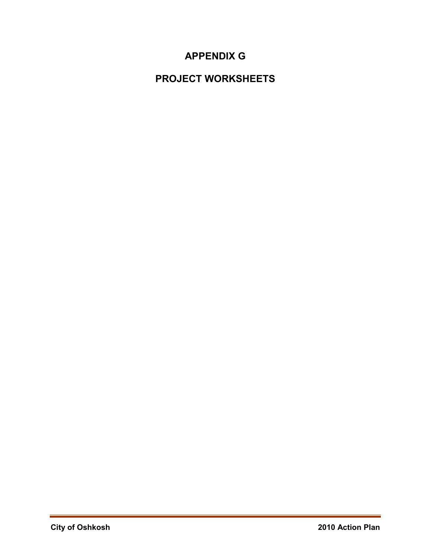## **APPENDIX G**

## **PROJECT WORKSHEETS**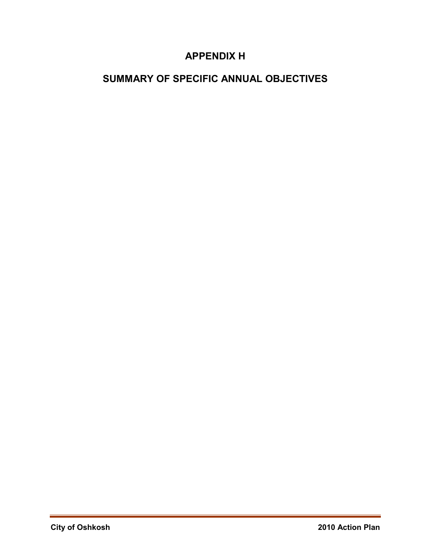## **APPENDIX H**

## **SUMMARY OF SPECIFIC ANNUAL OBJECTIVES**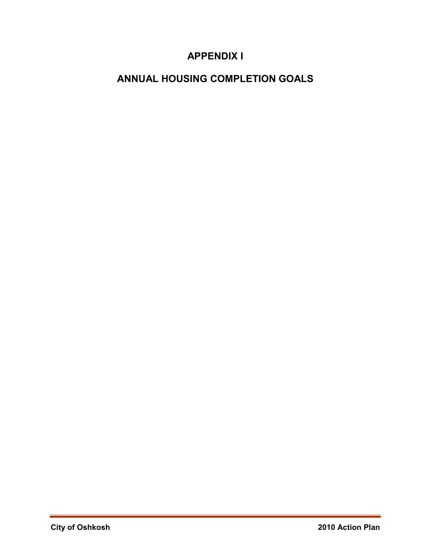## **APPENDIX I**

## **ANNUAL HOUSING COMPLETION GOALS**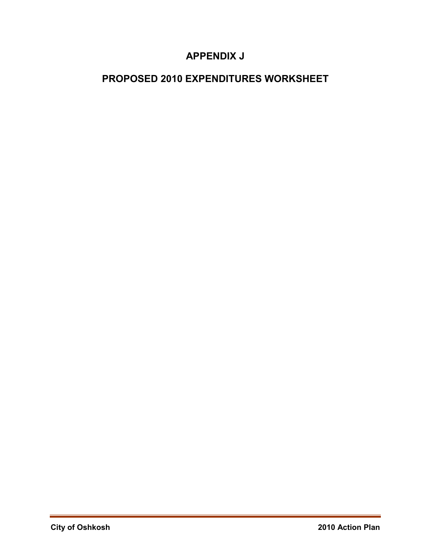## **APPENDIX J**

## **PROPOSED 2010 EXPENDITURES WORKSHEET**